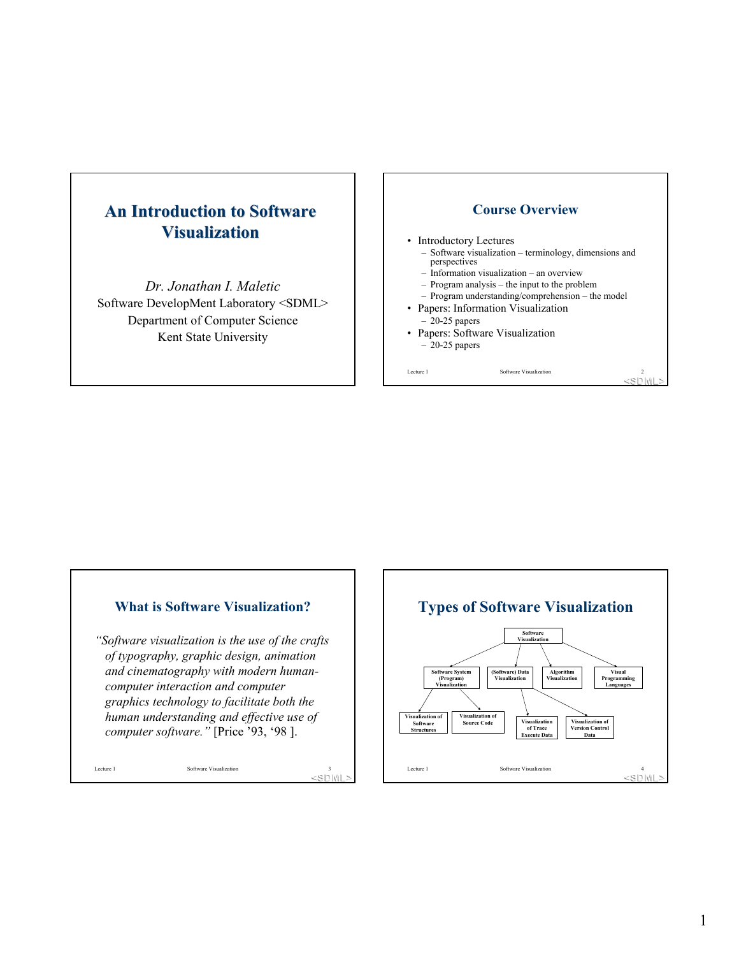# **An Introduction to Software Visualization**

*Dr. Jonathan I. Maletic* Software DevelopMent Laboratory <SDML> Department of Computer Science Kent State University

### **Course Overview**

#### • Introductory Lectures

- Software visualization terminology, dimensions and perspectives
- Information visualization an overview
- Program analysis the input to the problem
- Program understanding/comprehension the model
- Papers: Information Visualization – 20-25 papers
- Papers: Software Visualization – 20-25 papers

Lecture 1 Software Visualization 2  $\leq$   $\geq$   $\sqrt{$ 

### **What is Software Visualization?**

*"Software visualization is the use of the crafts of typography, graphic design, animation and cinematography with modern humancomputer interaction and computer graphics technology to facilitate both the human understanding and effective use of computer software."* [Price '93, '98 ].

Lecture 1 Software Visualization 3  $\langle \mathcal{S} | \mathcal{V} | \mathcal{V} |$ 



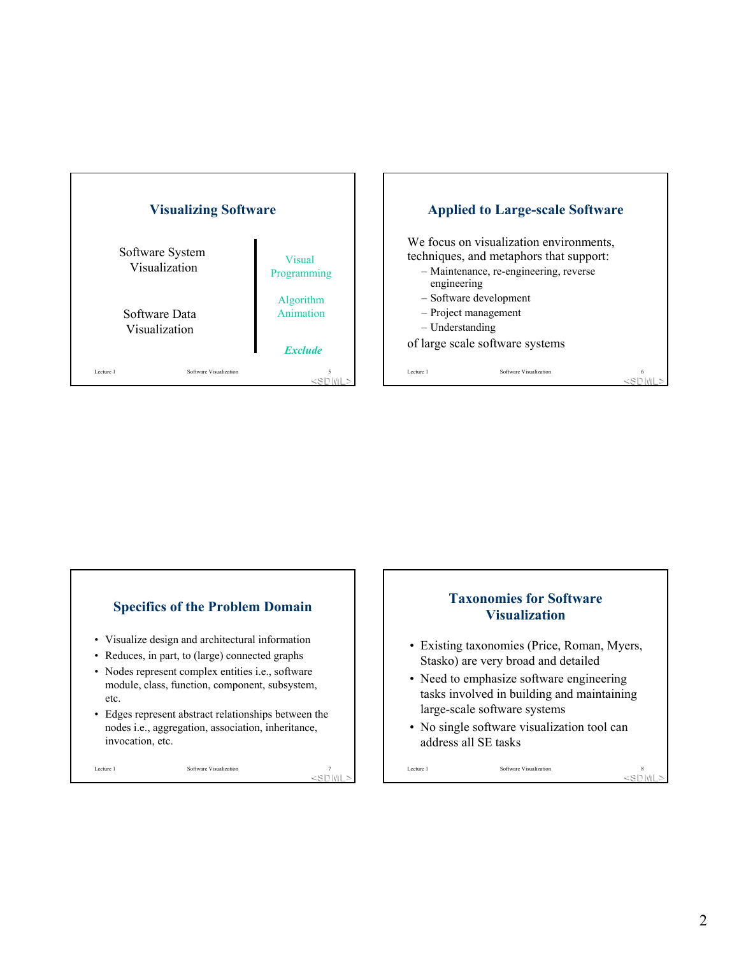



# **Specifics of the Problem Domain** • Visualize design and architectural information • Reduces, in part, to (large) connected graphs

- Nodes represent complex entities i.e., software module, class, function, component, subsystem, etc.
- Edges represent abstract relationships between the nodes i.e., aggregation, association, inheritance, invocation, etc.

Lecture 1 Software Visualization 7  $\langle \S | \rangle |\psi|$ 

### **Taxonomies for Software Visualization**

- Existing taxonomies (Price, Roman, Myers, Stasko) are very broad and detailed
- Need to emphasize software engineering tasks involved in building and maintaining large-scale software systems
- No single software visualization tool can address all SE tasks

Lecture 1 Software Visualization 8  $\leq$   $\geq$   $\mid$   $\mid$   $\mid$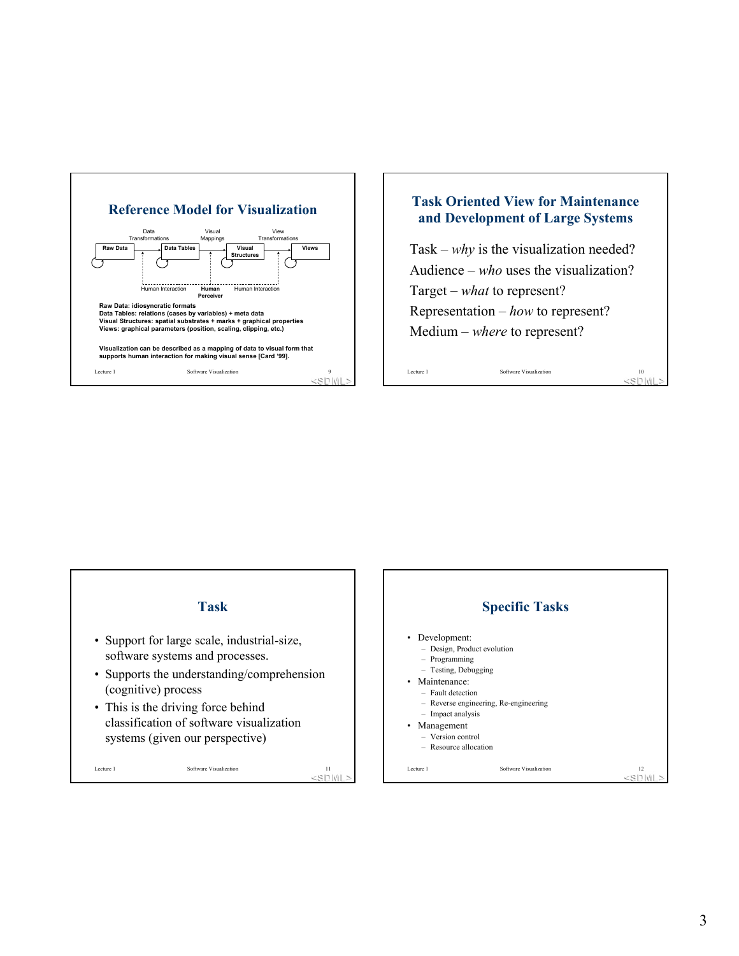



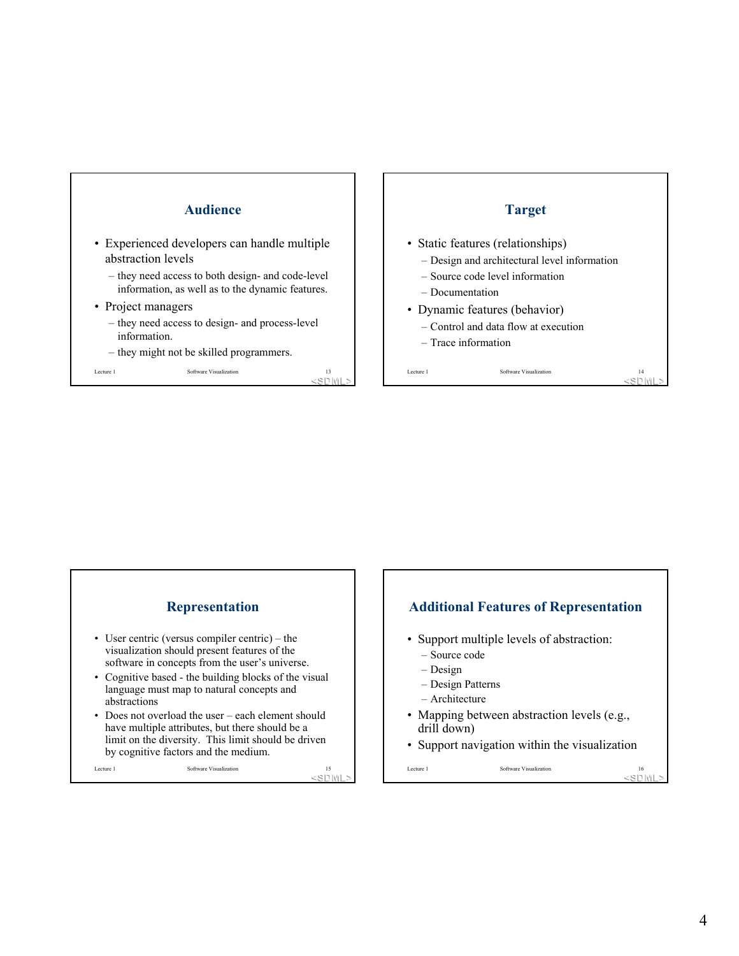



- Static features (relationships)
	- Design and architectural level information
	- Source code level information
	- Documentation
- Dynamic features (behavior)
	- Control and data flow at execution
	- Trace information



- abstractions • Does not overload the user – each element should
- have multiple attributes, but there should be a limit on the diversity. This limit should be driven by cognitive factors and the medium.

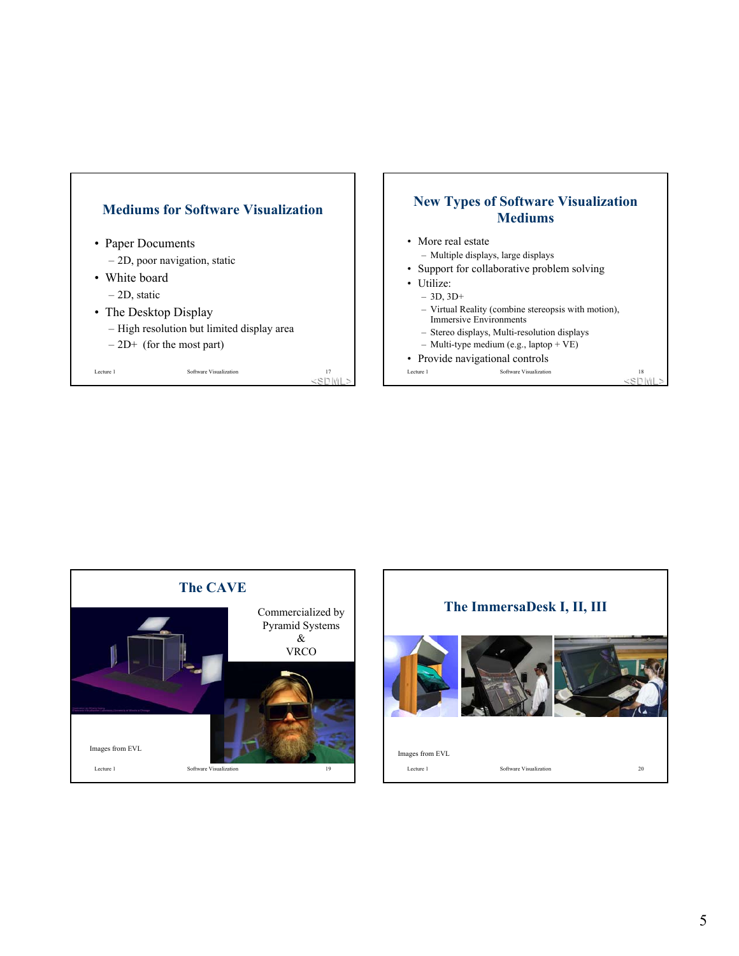

## **New Types of Software Visualization Mediums**

- More real estate
	- Multiple displays, large displays
- Support for collaborative problem solving
- Utilize:
	- $-3D, 3D+$
	- Virtual Reality (combine stereopsis with motion), Immersive Environments
	- Stereo displays, Multi-resolution displays
	- Multi-type medium (e.g., laptop + VE)
- Provide navigational controls

Lecture 1 Software Visualization 18<br>  $\leq S \mid \exists | \setminus |$ 



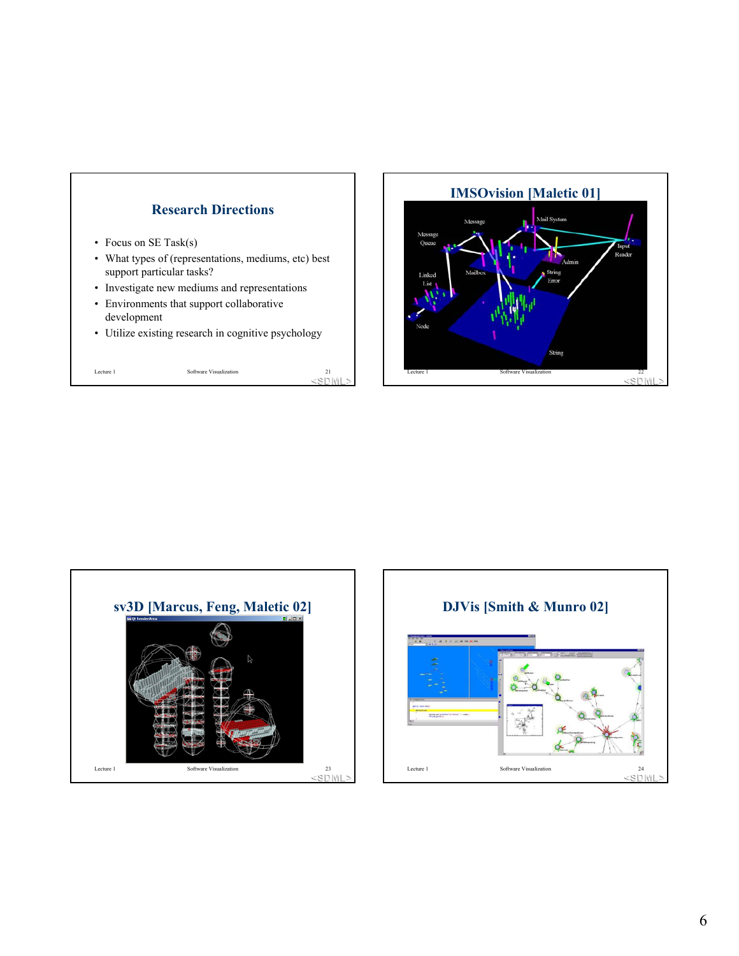

- Focus on SE Task(s)
- What types of (representations, mediums, etc) best support particular tasks?
- Investigate new mediums and representations
- Environments that support collaborative development
- Utilize existing research in cognitive psychology

Lecture 1 Software Visualization 21<br>  $\leq S \mid 1 \mid \text{if }$ 





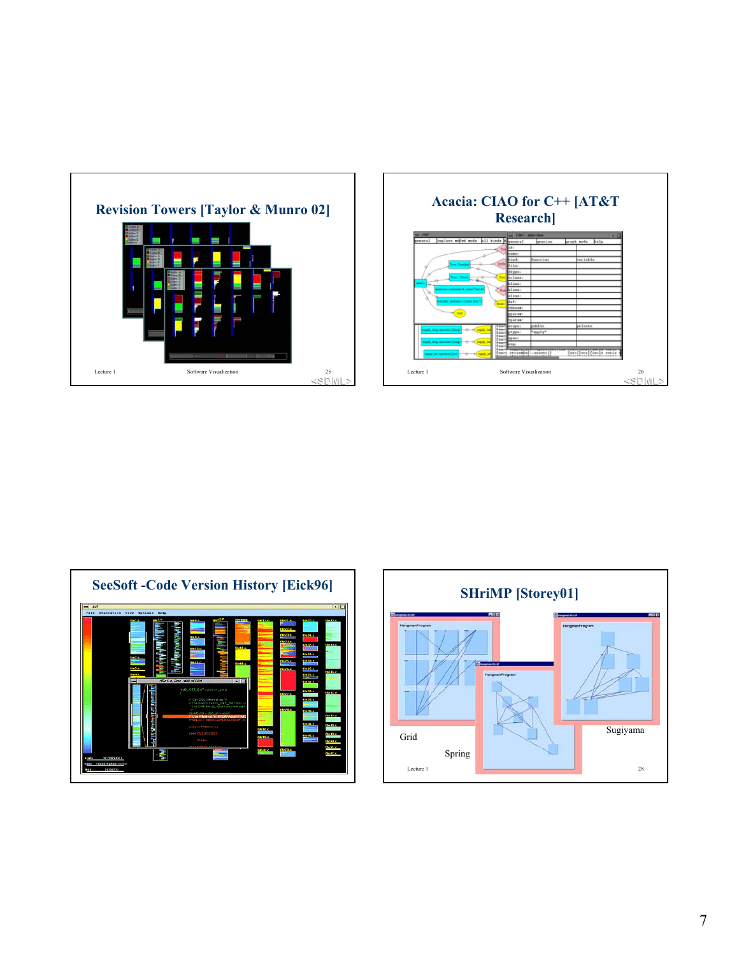